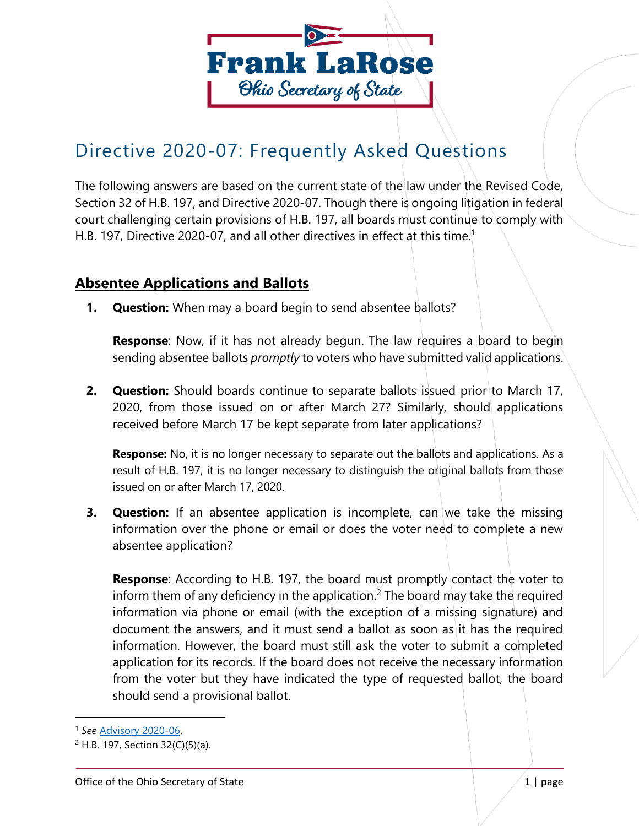

# Directive 2020-07: Frequently Asked Questions

The following answers are based on the current state of the law under the Revised Code, Section 32 of H.B. 197, and Directive 2020-07. Though there is ongoing litigation in federal court challenging certain provisions of H.B. 197, all boards must continue to comply with H.B. 197, Directive 2020-07, and all other directives in effect at this time.<sup>1</sup>

## **Absentee Applications and Ballots**

**1. Question:** When may a board begin to send absentee ballots?

**Response**: Now, if it has not already begun. The law requires a board to begin sending absentee ballots *promptly* to voters who have submitted valid applications.

**2. Question:** Should boards continue to separate ballots issued prior to March 17, 2020, from those issued on or after March 27? Similarly, should applications received before March 17 be kept separate from later applications?

**Response:** No, it is no longer necessary to separate out the ballots and applications. As a result of H.B. 197, it is no longer necessary to distinguish the original ballots from those issued on or after March 17, 2020.

**3. Question:** If an absentee application is incomplete, can we take the missing information over the phone or email or does the voter need to complete a new absentee application?

**Response:** According to H.B. 197, the board must promptly contact the voter to inform them of any deficiency in the application.<sup>2</sup> The board may take the required information via phone or email (with the exception of a missing signature) and document the answers, and it must send a ballot as soon as it has the required information. However, the board must still ask the voter to submit a completed application for its records. If the board does not receive the necessary information from the voter but they have indicated the type of requested ballot, the board should send a provisional ballot.

<sup>1</sup> *See* [Advisory 2020-06.](https://www.ohiosos.gov/globalassets/elections/advisories/2020/adv2020-06.pdf)

 $2$  H.B. 197, Section 32(C)(5)(a).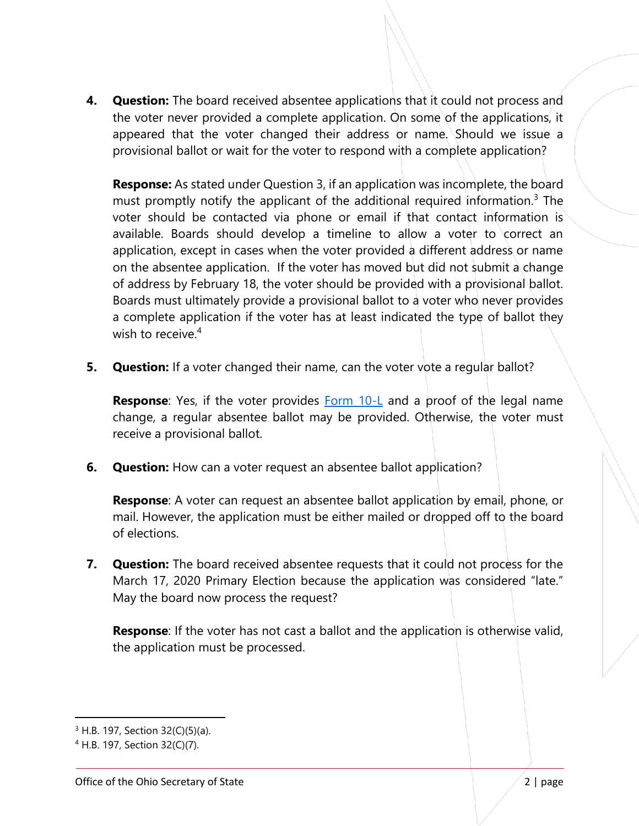**4. Question:** The board received absentee applications that it could not process and the voter never provided a complete application. On some of the applications, it appeared that the voter changed their address or name. Should we issue a provisional ballot or wait for the voter to respond with a complete application?

**Response:** As stated under Question 3, if an application was incomplete, the board must promptly notify the applicant of the additional required information.<sup>3</sup> The voter should be contacted via phone or email if that contact information is available. Boards should develop a timeline to allow a voter to correct an application, except in cases when the voter provided a different address or name on the absentee application. If the voter has moved but did not submit a change of address by February 18, the voter should be provided with a provisional ballot. Boards must ultimately provide a provisional ballot to a voter who never provides a complete application if the voter has at least indicated the type of ballot they wish to receive.<sup>4</sup>

**5. Question:** If a voter changed their name, can the voter vote a regular ballot?

**Response**: Yes, if the voter provides **Form 10-L** and a proof of the legal name change, a regular absentee ballot may be provided. Otherwise, the voter must receive a provisional ballot.

**6.** Question: How can a voter request an absentee ballot application?

**Response**: A voter can request an absentee ballot application by email, phone, or mail. However, the application must be either mailed or dropped off to the board of elections.

**7. Question:** The board received absentee requests that it could not process for the March 17, 2020 Primary Election because the application was considered "late." May the board now process the request?

**Response**: If the voter has not cast a ballot and the application is otherwise valid, the application must be processed.

<sup>3</sup> H.B. 197, Section 32(C)(5)(a).

<sup>4</sup> H.B. 197, Section 32(C)(7).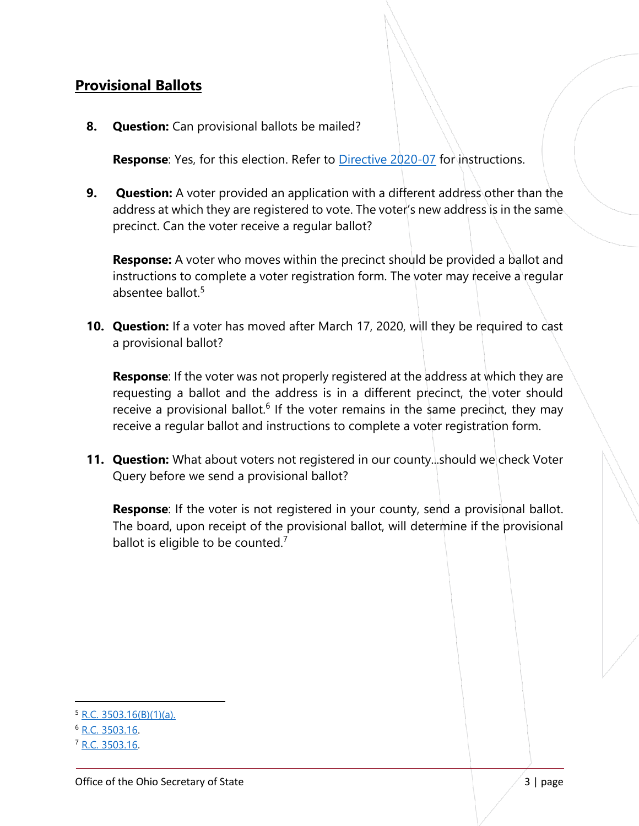## **Provisional Ballots**

**8. Question:** Can provisional ballots be mailed?

**Response**: Yes, for this election. Refer to **Directive 2020-07** for instructions.

**9. Question:** A voter provided an application with a different address other than the address at which they are registered to vote. The voter's new address is in the same. precinct. Can the voter receive a regular ballot?

**Response:** A voter who moves within the precinct should be provided a ballot and instructions to complete a voter registration form. The voter may receive a regular absentee ballot.<sup>5</sup>

**10. Question:** If a voter has moved after March 17, 2020, will they be required to cast a provisional ballot?

**Response**: If the voter was not properly registered at the address at which they are requesting a ballot and the address is in a different precinct, the voter should receive a provisional ballot.<sup>6</sup> If the voter remains in the same precinct, they may receive a regular ballot and instructions to complete a voter registration form.

**11. Question:** What about voters not registered in our county...should we check Voter Query before we send a provisional ballot?

**Response**: If the voter is not registered in your county, send a provisional ballot. The board, upon receipt of the provisional ballot, will determine if the provisional ballot is eligible to be counted.<sup>7</sup>

 $5 R.C. 3503.16(B)(1)(a)$ .

<sup>6</sup> [R.C. 3503.16.](http://codes.ohio.gov/orc/3503.16)

<sup>7</sup> [R.C. 3503.16.](http://codes.ohio.gov/orc/3503.16)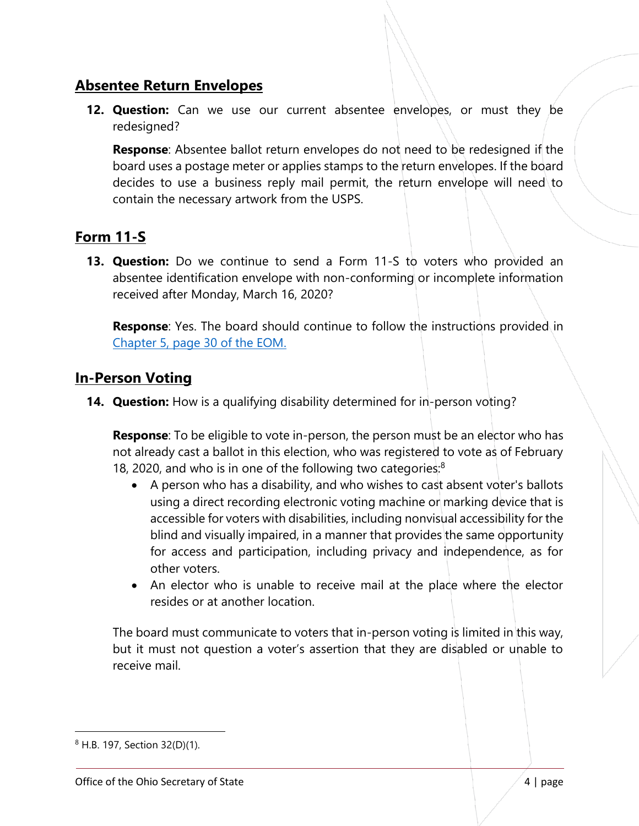## **Absentee Return Envelopes**

**12. Question:** Can we use our current absentee envelopes, or must they be redesigned?

**Response**: Absentee ballot return envelopes do not need to be redesigned if the board uses a postage meter or applies stamps to the return envelopes. If the board decides to use a business reply mail permit, the return envelope will need to contain the necessary artwork from the USPS.

# **Form 11-S**

**13. Question:** Do we continue to send a Form 11-S to voters who provided an absentee identification envelope with non-conforming or incomplete information received after Monday, March 16, 2020?

**Response:** Yes. The board should continue to follow the instructions provided in [Chapter 5, page 30 of the EOM.](https://www.sos.state.oh.us/globalassets/elections/directives/2019/eom_12-2019/eom_ch5_2019-12-18.pdf)

## **In-Person Voting**

**14. Question:** How is a qualifying disability determined for in-person voting?

**Response**: To be eligible to vote in-person, the person must be an elector who has not already cast a ballot in this election, who was registered to vote as of February 18, 2020, and who is in one of the following two categories:<sup>8</sup>

- A person who has a disability, and who wishes to cast absent voter's ballots using a direct recording electronic voting machine or marking device that is accessible for voters with disabilities, including nonvisual accessibility for the blind and visually impaired, in a manner that provides the same opportunity for access and participation, including privacy and independence, as for other voters.
- An elector who is unable to receive mail at the place where the elector resides or at another location.

The board must communicate to voters that in-person voting is limited in this way, but it must not question a voter's assertion that they are disabled or unable to receive mail.

 $\overline{a}$ 

<sup>8</sup> H.B. 197, Section 32(D)(1).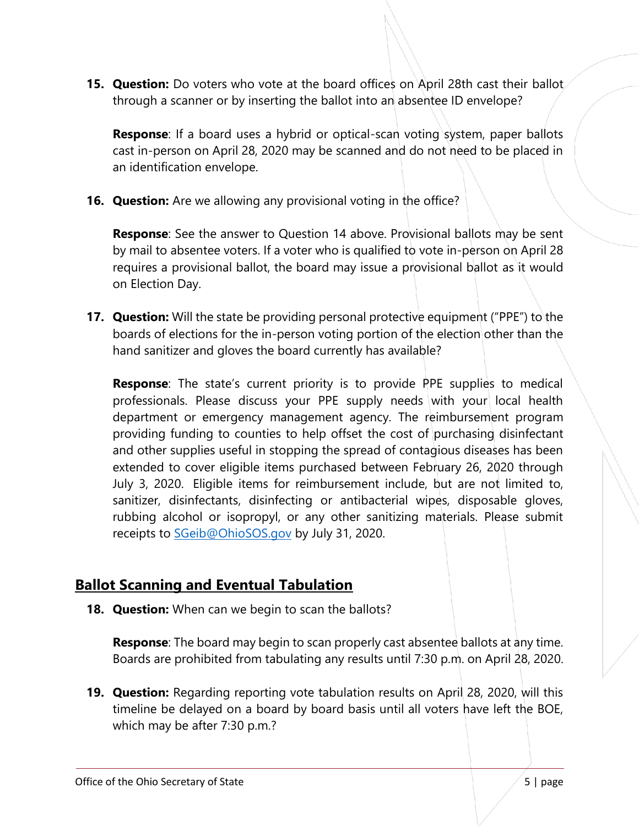**15. Question:** Do voters who vote at the board offices on April 28th cast their ballot through a scanner or by inserting the ballot into an absentee ID envelope?

**Response**: If a board uses a hybrid or optical-scan voting system, paper ballots cast in-person on April 28, 2020 may be scanned and do not need to be placed in an identification envelope.

**16. Question:** Are we allowing any provisional voting in the office?

**Response**: See the answer to Question 14 above. Provisional ballots may be sent by mail to absentee voters. If a voter who is qualified to vote in-person on April 28 requires a provisional ballot, the board may issue a provisional ballot as it would on Election Day.

**17. Question:** Will the state be providing personal protective equipment ("PPE") to the boards of elections for the in-person voting portion of the election other than the hand sanitizer and gloves the board currently has available?

**Response**: The state's current priority is to provide PPE supplies to medical professionals. Please discuss your PPE supply needs with your local health department or emergency management agency. The reimbursement program providing funding to counties to help offset the cost of purchasing disinfectant and other supplies useful in stopping the spread of contagious diseases has been extended to cover eligible items purchased between February 26, 2020 through July 3, 2020. Eligible items for reimbursement include, but are not limited to, sanitizer, disinfectants, disinfecting or antibacterial wipes, disposable gloves, rubbing alcohol or isopropyl, or any other sanitizing materials. Please submit receipts to [SGeib@OhioSOS.gov](mailto:SGeib@OhioSOS.gov) by July 31, 2020.

## **Ballot Scanning and Eventual Tabulation**

**18. Question:** When can we begin to scan the ballots?

**Response**: The board may begin to scan properly cast absentee ballots at any time. Boards are prohibited from tabulating any results until 7:30 p.m. on April 28, 2020.

**19. Question:** Regarding reporting vote tabulation results on April 28, 2020, will this timeline be delayed on a board by board basis until all voters have left the BOE, which may be after 7:30 p.m.?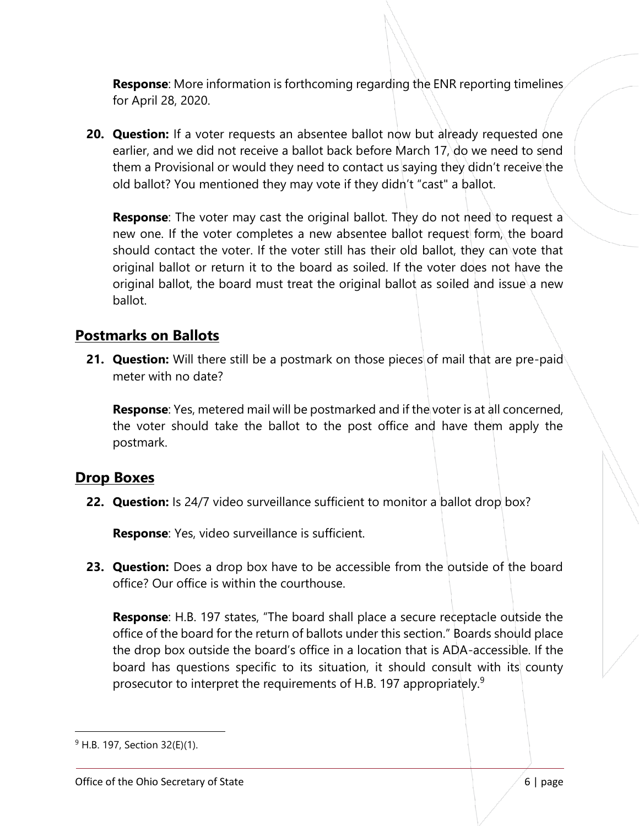**Response**: More information is forthcoming regarding the ENR reporting timelines for April 28, 2020.

**20. Question:** If a voter requests an absentee ballot now but already requested one earlier, and we did not receive a ballot back before March 17, do we need to send them a Provisional or would they need to contact us saying they didn't receive the old ballot? You mentioned they may vote if they didn't "cast" a ballot.

**Response**: The voter may cast the original ballot. They do not need to request a new one. If the voter completes a new absentee ballot request form, the board should contact the voter. If the voter still has their old ballot, they can vote that original ballot or return it to the board as soiled. If the voter does not have the original ballot, the board must treat the original ballot as soiled and issue a new ballot.

#### **Postmarks on Ballots**

**21. Question:** Will there still be a postmark on those pieces of mail that are pre-paid meter with no date?

**Response**: Yes, metered mail will be postmarked and if the voter is at all concerned, the voter should take the ballot to the post office and have them apply the postmark.

#### **Drop Boxes**

**22. Question:** Is 24/7 video surveillance sufficient to monitor a ballot drop box?

**Response**: Yes, video surveillance is sufficient.

**23. Question:** Does a drop box have to be accessible from the outside of the board office? Our office is within the courthouse.

**Response**: H.B. 197 states, "The board shall place a secure receptacle outside the office of the board for the return of ballots under this section." Boards should place the drop box outside the board's office in a location that is ADA-accessible. If the board has questions specific to its situation, it should consult with its county prosecutor to interpret the requirements of H.B. 197 appropriately.<sup>9</sup>

 $\overline{a}$ 

<sup>9</sup> H.B. 197, Section 32(E)(1).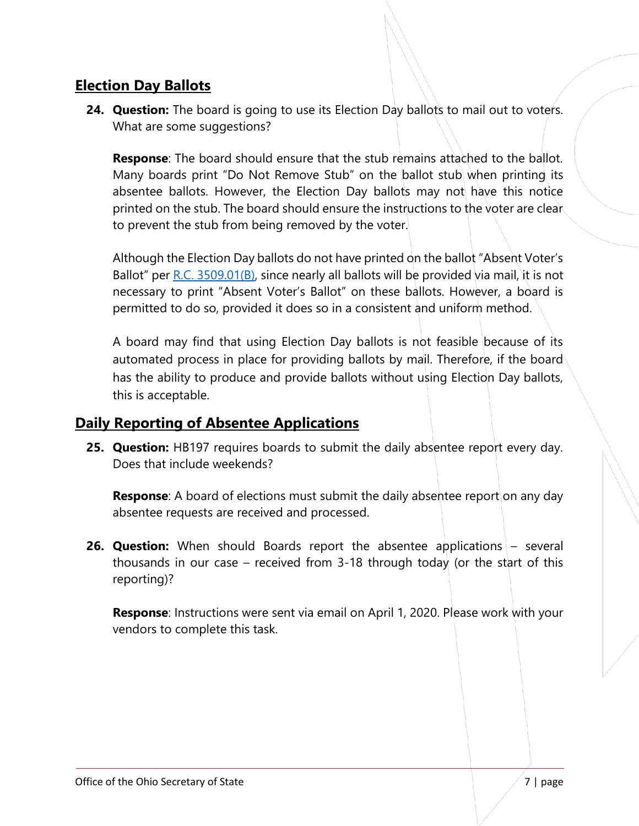## **Election Day Ballots**

**24. Question:** The board is going to use its Election Day ballots to mail out to voters. What are some suggestions?

**Response**: The board should ensure that the stub remains attached to the ballot. Many boards print "Do Not Remove Stub" on the ballot stub when printing its absentee ballots. However, the Election Day ballots may not have this notice printed on the stub. The board should ensure the instructions to the voter are clear to prevent the stub from being removed by the voter.

Although the Election Day ballots do not have printed on the ballot "Absent Voter's Ballot" per  $R.C. 3509.01(B)$ , since nearly all ballots will be provided via mail, it is not necessary to print "Absent Voter's Ballot" on these ballots. However, a board is permitted to do so, provided it does so in a consistent and uniform method.

A board may find that using Election Day ballots is not feasible because of its automated process in place for providing ballots by mail. Therefore, if the board has the ability to produce and provide ballots without using Election Day ballots, this is acceptable.

## **Daily Reporting of Absentee Applications**

**25. Question:** HB197 requires boards to submit the daily absentee report every day. Does that include weekends?

**Response**: A board of elections must submit the daily absentee report on any day absentee requests are received and processed.

**26. Question:** When should Boards report the absentee applications – several thousands in our case – received from 3-18 through today (or the start of this reporting)?

**Response**: Instructions were sent via email on April 1, 2020. Please work with your vendors to complete this task.